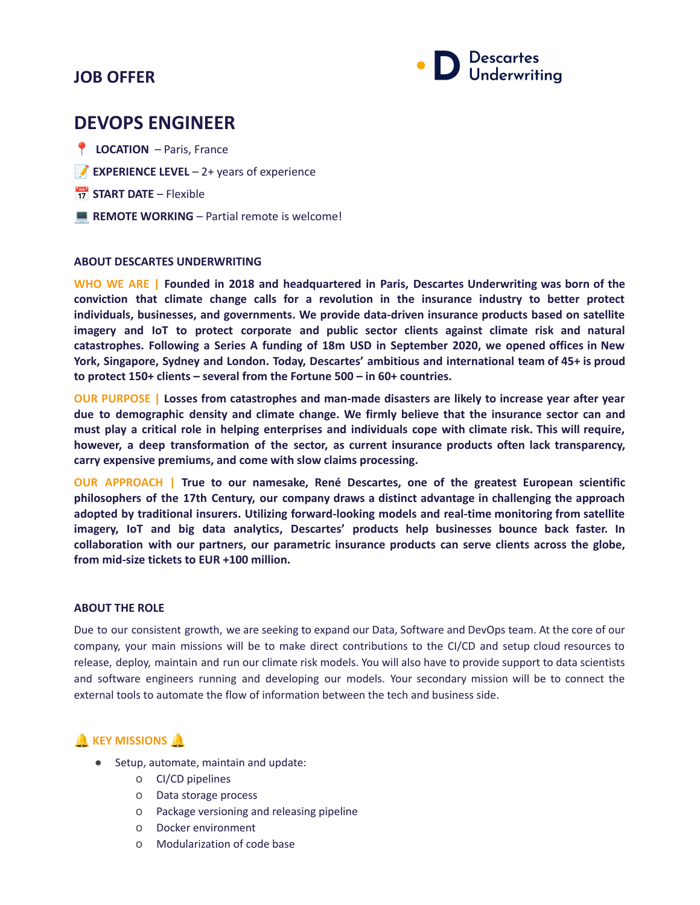## **JOB OFFER**



# **DEVOPS ENGINEER**

- **LOCATION** Paris, France
- **EXPERIENCE LEVEL** 2+ years of experience
- **START DATE** Flexible
- **REMOTE WORKING** Partial remote is welcome!

#### **ABOUT DESCARTES UNDERWRITING**

**WHO WE ARE | Founded in 2018 and headquartered in Paris, Descartes Underwriting was born of the conviction that climate change calls for a revolution in the insurance industry to better protect individuals, businesses, and governments. We provide data-driven insurance products based on satellite imagery and IoT to protect corporate and public sector clients against climate risk and natural catastrophes. Following a Series A funding of 18m USD in September 2020, we opened offices in New York, Singapore, Sydney and London. Today, Descartes' ambitious and international team of 45+ is proud to protect 150+ clients – several from the Fortune 500 – in 60+ countries.**

**OUR PURPOSE | Losses from catastrophes and man-made disasters are likely to increase year after year due to demographic density and climate change. We firmly believe that the insurance sector can and** must play a critical role in helping enterprises and individuals cope with climate risk. This will require, **however, a deep transformation of the sector, as current insurance products often lack transparency, carry expensive premiums, and come with slow claims processing.**

**OUR APPROACH | True to our namesake, René Descartes, one of the greatest European scientific philosophers of the 17th Century, our company draws a distinct advantage in challenging the approach adopted by traditional insurers. Utilizing forward-looking models and real-time monitoring from satellite imagery, IoT and big data analytics, Descartes' products help businesses bounce back faster. In collaboration with our partners, our parametric insurance products can serve clients across the globe, from mid-size tickets to EUR +100 million.**

#### **ABOUT THE ROLE**

Due to our consistent growth, we are seeking to expand our Data, Software and DevOps team. At the core of our company, your main missions will be to make direct contributions to the CI/CD and setup cloud resources to release, deploy, maintain and run our climate risk models. You will also have to provide support to data scientists and software engineers running and developing our models. Your secondary mission will be to connect the external tools to automate the flow of information between the tech and business side.

## **A** KEY MISSIONS

- Setup, automate, maintain and update:
	- o CI/CD pipelines
	- o Data storage process
	- o Package versioning and releasing pipeline
	- o Docker environment
	- o Modularization of code base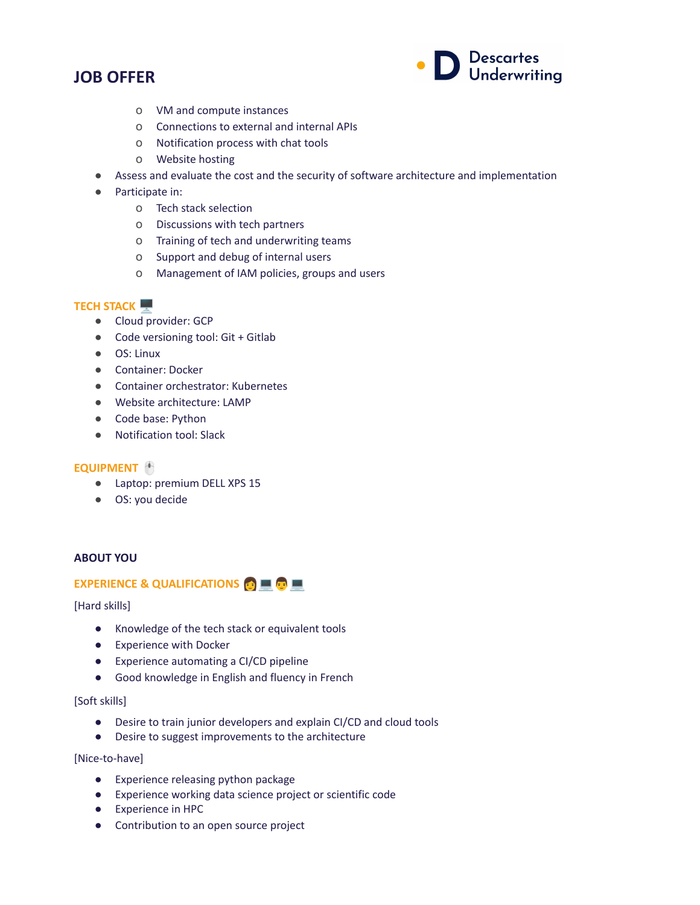## **JOB OFFER**



- o VM and compute instances
- o Connections to external and internal APIs
- o Notification process with chat tools
- o Website hosting
- Assess and evaluate the cost and the security of software architecture and implementation
- Participate in:
	- o Tech stack selection
	- o Discussions with tech partners
	- o Training of tech and underwriting teams
	- o Support and debug of internal users
	- o Management of IAM policies, groups and users

## **TECH STACK**

- Cloud provider: GCP
- Code versioning tool: Git + Gitlab
- OS: Linux
- Container: Docker
- Container orchestrator: Kubernetes
- Website architecture: LAMP
- Code base: Python
- Notification tool: Slack

### **EQUIPMENT**

- Laptop: premium DELL XPS 15
- OS: you decide

#### **ABOUT YOU**

### **EXPERIENCE & QUALIFICATIONS**

#### [Hard skills]

- Knowledge of the tech stack or equivalent tools
- Experience with Docker
- Experience automating a CI/CD pipeline
- Good knowledge in English and fluency in French

#### [Soft skills]

- Desire to train junior developers and explain CI/CD and cloud tools
- Desire to suggest improvements to the architecture

[Nice-to-have]

- Experience releasing python package
- Experience working data science project or scientific code
- Experience in HPC
- Contribution to an open source project